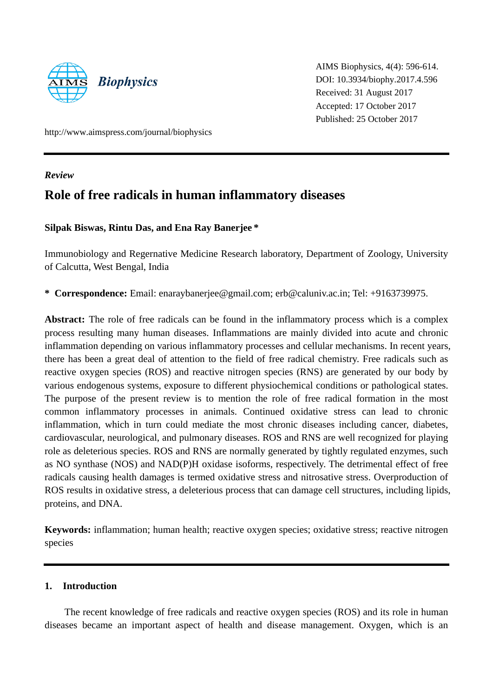

AIMS Biophysics, 4(4): 596-614. DOI: 10.3934/biophy.2017.4.596 Received: 31 August 2017 Accepted: 17 October 2017 Published: 25 October 2017

http://www.aimspress.com/journal/biophysics

*Review*

# **Role of free radicals in human inflammatory diseases**

## **Silpak Biswas, Rintu Das, and Ena Ray Banerjee \***

Immunobiology and Regernative Medicine Research laboratory, Department of Zoology, University of Calcutta, West Bengal, India

**\* Correspondence:** Email: [enaraybanerjee@gmail.com;](mailto:enaraybanerjee@gmail.com) [erb@caluniv.ac.in;](mailto:erb@caluniv.ac.in) Tel: +9163739975.

**Abstract:** The role of free radicals can be found in the inflammatory process which is a complex process resulting many human diseases. Inflammations are mainly divided into acute and chronic inflammation depending on various inflammatory processes and cellular mechanisms. In recent years, there has been a great deal of attention to the field of free radical chemistry. Free radicals such as reactive oxygen species (ROS) and reactive nitrogen species (RNS) are generated by our body by various endogenous systems, exposure to different physiochemical conditions or pathological states. The purpose of the present review is to mention the role of free radical formation in the most common inflammatory processes in animals. Continued oxidative stress can lead to chronic inflammation, which in turn could mediate the most chronic diseases including cancer, diabetes, cardiovascular, neurological, and pulmonary diseases. ROS and RNS are well recognized for playing role as deleterious species. ROS and RNS are normally generated by tightly regulated enzymes, such as NO synthase (NOS) and NAD(P)H oxidase isoforms, respectively. The detrimental effect of free radicals causing health damages is termed oxidative stress and nitrosative stress. Overproduction of ROS results in oxidative stress, a deleterious process that can damage cell structures, including lipids, proteins, and DNA.

**Keywords:** inflammation; human health; reactive oxygen species; oxidative stress; reactive nitrogen species

## **1. Introduction**

The recent knowledge of free radicals and reactive oxygen species (ROS) and its role in human diseases became an important aspect of health and disease management. Oxygen, which is an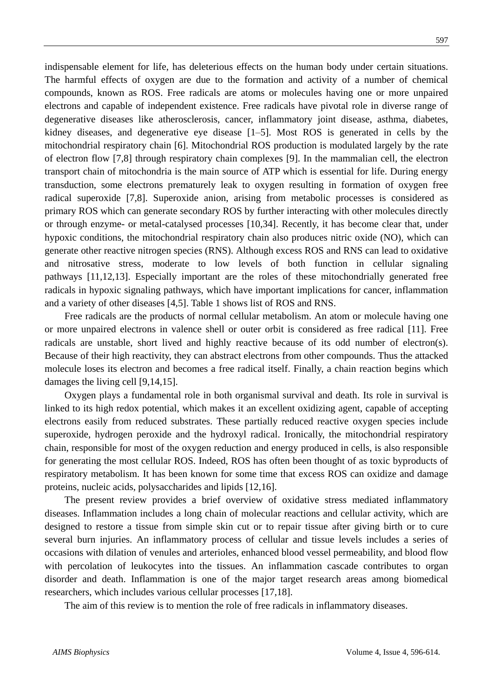indispensable element for life, has deleterious effects on the human body under certain situations. The harmful effects of oxygen are due to the formation and activity of a number of chemical compounds, known as ROS. Free radicals are atoms or molecules having one or more unpaired electrons and capable of independent existence. Free radicals have pivotal role in diverse range of degenerative diseases like atherosclerosis, cancer, inflammatory joint disease, asthma, diabetes, kidney diseases, and degenerative eye disease [1–5]. Most ROS is generated in cells by the mitochondrial respiratory chain [6]. Mitochondrial ROS production is modulated largely by the rate of electron flow [7,8] through respiratory chain complexes [9]. In the mammalian cell, the electron transport chain of mitochondria is the main source of ATP which is essential for life. During energy transduction, some electrons prematurely leak to oxygen resulting in formation of oxygen free radical superoxide [7,8]. Superoxide anion, arising from metabolic processes is considered as primary ROS which can generate secondary ROS by further interacting with other molecules directly or through enzyme- or metal-catalysed processes [10,34]. Recently, it has become clear that, under hypoxic conditions, the mitochondrial respiratory chain also produces nitric oxide (NO), which can generate other reactive nitrogen species (RNS). Although excess ROS and RNS can lead to oxidative and nitrosative stress, moderate to low levels of both function in cellular signaling pathways [11,12,13]. Especially important are the roles of these mitochondrially generated free radicals in hypoxic signaling pathways, which have important implications for cancer, inflammation and a variety of other diseases [4,5]. Table 1 shows list of ROS and RNS.

Free radicals are the products of normal cellular metabolism. An atom or molecule having one or more unpaired electrons in valence shell or outer orbit is considered as free radical [11]. Free radicals are unstable, short lived and highly reactive because of its odd number of electron(s). Because of their high reactivity, they can abstract electrons from other compounds. Thus the attacked molecule loses its electron and becomes a free radical itself. Finally, a chain reaction begins which damages the living cell [9,14,15].

Oxygen plays a fundamental role in both organismal survival and death. Its role in survival is linked to its high redox potential, which makes it an excellent oxidizing agent, capable of accepting electrons easily from reduced substrates. These partially reduced reactive oxygen species include superoxide, hydrogen peroxide and the hydroxyl radical. Ironically, the mitochondrial respiratory chain, responsible for most of the oxygen reduction and energy produced in cells, is also responsible for generating the most cellular ROS. Indeed, ROS has often been thought of as toxic byproducts of respiratory metabolism. It has been known for some time that excess ROS can oxidize and damage proteins, nucleic acids, polysaccharides and lipids [12,16].

The present review provides a brief overview of oxidative stress mediated inflammatory diseases. Inflammation includes a long chain of molecular reactions and cellular activity, which are designed to restore a tissue from simple skin cut or to repair tissue after giving birth or to cure several burn injuries. An inflammatory process of cellular and tissue levels includes a series of occasions with dilation of venules and arterioles, enhanced blood vessel permeability, and blood flow with percolation of leukocytes into the tissues. An inflammation cascade contributes to organ disorder and death. Inflammation is one of the major target research areas among biomedical researchers, which includes various cellular processes [17,18].

The aim of this review is to mention the role of free radicals in inflammatory diseases.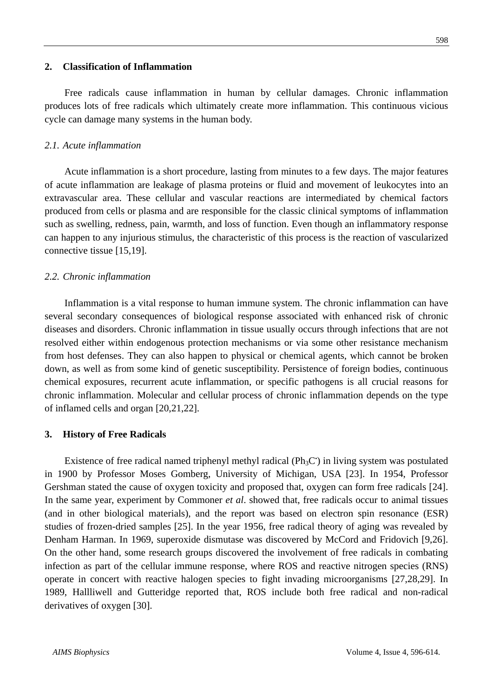#### **2. Classification of Inflammation**

cycle can damage many systems in the human body.

Free radicals cause inflammation in human by cellular damages. Chronic inflammation produces lots of free radicals which ultimately create more inflammation. This continuous vicious

### *2.1. Acute inflammation*

Acute inflammation is a short procedure, lasting from minutes to a few days. The major features of acute inflammation are leakage of plasma proteins or fluid and movement of leukocytes into an extravascular area. These cellular and vascular reactions are intermediated by chemical factors produced from cells or plasma and are responsible for the classic clinical symptoms of inflammation such as swelling, redness, pain, warmth, and loss of function. Even though an inflammatory response can happen to any injurious stimulus, the characteristic of this process is the reaction of vascularized connective tissue [15,19].

## *2.2. Chronic inflammation*

Inflammation is a vital response to human immune system. The chronic inflammation can have several secondary consequences of biological response associated with enhanced risk of chronic diseases and disorders. Chronic inflammation in tissue usually occurs through infections that are not resolved either within endogenous protection mechanisms or via some other resistance mechanism from host defenses. They can also happen to physical or chemical agents, which cannot be broken down, as well as from some kind of genetic susceptibility. Persistence of foreign bodies, continuous chemical exposures, recurrent acute inflammation, or specific pathogens is all crucial reasons for chronic inflammation. Molecular and cellular process of chronic inflammation depends on the type of inflamed cells and organ [20,21,22].

### **3. History of Free Radicals**

Existence of free radical named triphenyl methyl radical ( $Ph_3C$ ) in living system was postulated in 1900 by Professor Moses Gomberg, University of Michigan, USA [23]. In 1954, Professor Gershman stated the cause of oxygen toxicity and proposed that, oxygen can form free radicals [24]. In the same year, experiment by Commoner *et al*. showed that, free radicals occur to animal tissues (and in other biological materials), and the report was based on electron spin resonance (ESR) studies of frozen-dried samples [25]. In the year 1956, free radical theory of aging was revealed by Denham Harman. In 1969, superoxide dismutase was discovered by McCord and Fridovich [9,26]. On the other hand, some research groups discovered the involvement of free radicals in combating infection as part of the cellular immune response, where ROS and reactive nitrogen species (RNS) operate in concert with reactive halogen species to fight invading microorganisms [27,28,29]. In 1989, Hallliwell and Gutteridge reported that, ROS include both free radical and non-radical derivatives of oxygen [30].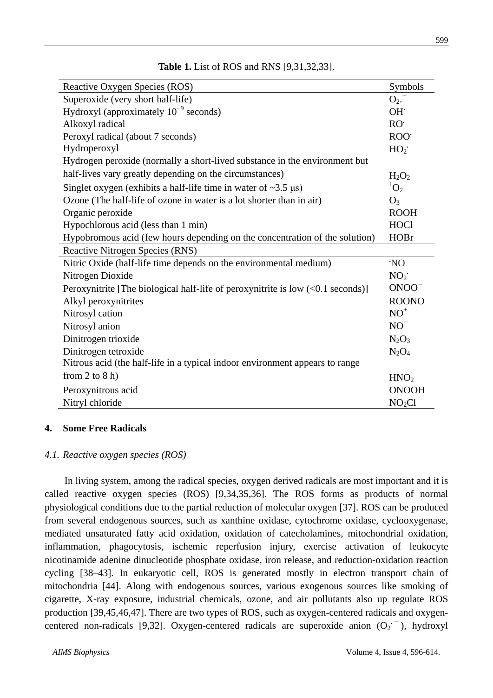| Reactive Oxygen Species (ROS)                                                     | Symbols            |
|-----------------------------------------------------------------------------------|--------------------|
| Superoxide (very short half-life)                                                 | $O_2$ .            |
| Hydroxyl (approximately $10^{-9}$ seconds)                                        | OH.                |
| Alkoxyl radical                                                                   | RO <sub>r</sub>    |
| Peroxyl radical (about 7 seconds)                                                 | ROO <sup>.</sup>   |
| Hydroperoxyl                                                                      | HO <sub>2</sub>    |
| Hydrogen peroxide (normally a short-lived substance in the environment but        |                    |
| half-lives vary greatly depending on the circumstances)                           | $H_2O_2$           |
| Singlet oxygen (exhibits a half-life time in water of $\sim$ 3.5 $\mu$ s)         | ${}^{1}O_{2}$      |
| Ozone (The half-life of ozone in water is a lot shorter than in air)              | $O_3$              |
| Organic peroxide                                                                  | <b>ROOH</b>        |
| Hypochlorous acid (less than 1 min)                                               | <b>HOCl</b>        |
| Hypobromous acid (few hours depending on the concentration of the solution)       | <b>HOBr</b>        |
| Reactive Nitrogen Species (RNS)                                                   |                    |
| Nitric Oxide (half-life time depends on the environmental medium)                 | 'NO                |
| Nitrogen Dioxide                                                                  | NO <sub>2</sub>    |
| Peroxynitrite [The biological half-life of peroxynitrite is low $(<0.1$ seconds)] | $ONOO-$            |
| Alkyl peroxynitrites                                                              | <b>ROONO</b>       |
| Nitrosyl cation                                                                   | $NO+$              |
| Nitrosyl anion                                                                    | $NO-$              |
| Dinitrogen trioxide                                                               | $N_2O_3$           |
| Dinitrogen tetroxide                                                              | $N_2O_4$           |
| Nitrous acid (the half-life in a typical indoor environment appears to range      |                    |
| from 2 to $8$ h)                                                                  | HNO <sub>2</sub>   |
| Peroxynitrous acid                                                                | <b>ONOOH</b>       |
| Nitryl chloride                                                                   | NO <sub>2</sub> Cl |

## **Table 1.** List of ROS and RNS [9,31,32,33].

### **4. Some Free Radicals**

#### *4.1. Reactive oxygen species (ROS)*

In living system, among the radical species, oxygen derived radicals are most important and it is called reactive oxygen species (ROS) [9,34,35,36]. The ROS forms as products of normal physiological conditions due to the partial reduction of molecular oxygen [37]. ROS can be produced from several endogenous sources, such as xanthine oxidase, cytochrome oxidase, cyclooxygenase, mediated unsaturated fatty acid oxidation, oxidation of catecholamines, mitochondrial oxidation, inflammation, phagocytosis, ischemic reperfusion injury, exercise activation of leukocyte nicotinamide adenine dinucleotide phosphate oxidase, iron release, and reduction-oxidation reaction cycling [38–43]. In eukaryotic cell, ROS is generated mostly in electron transport chain of mitochondria [44]. Along with endogenous sources, various exogenous sources like smoking of cigarette, X-ray exposure, industrial chemicals, ozone, and air pollutants also up regulate ROS production [39,45,46,47]. There are two types of ROS, such as oxygen-centered radicals and oxygencentered non-radicals [9,32]. Oxygen-centered radicals are superoxide anion (O<sub>2</sub><sup>-</sup>), hydroxyl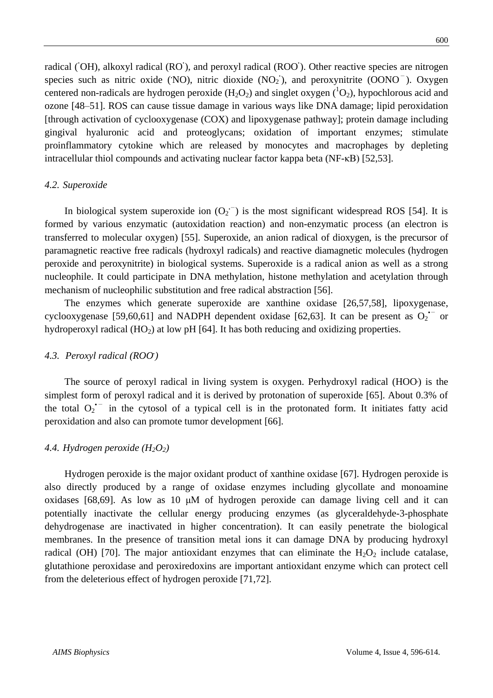radical (OH), alkoxyl radical (RO), and peroxyl radical (ROO). Other reactive species are nitrogen species such as nitric oxide (NO), nitric dioxide (NO<sub>2</sub>), and peroxynitrite (OONO<sup>-</sup>). Oxygen centered non-radicals are hydrogen peroxide  $(H_2O_2)$  and singlet oxygen  $(^1O_2)$ , hypochlorous acid and ozone [48–51]. ROS can cause tissue damage in various ways like DNA damage; lipid peroxidation [through activation of cyclooxygenase (COX) and lipoxygenase pathway]; protein damage including gingival hyaluronic acid and proteoglycans; oxidation of important enzymes; stimulate proinflammatory cytokine which are released by monocytes and macrophages by depleting intracellular thiol compounds and activating nuclear factor kappa beta (NF-κB) [52,53].

#### *4.2. Superoxide*

In biological system superoxide ion  $(O_2^{\text{-}})$  is the most significant widespread ROS [54]. It is formed by various enzymatic (autoxidation reaction) and non-enzymatic process (an electron is transferred to molecular oxygen) [55]. Superoxide, an anion radical of dioxygen, is the precursor of paramagnetic reactive free radicals (hydroxyl radicals) and reactive diamagnetic molecules (hydrogen peroxide and peroxynitrite) in biological systems. Superoxide is a radical anion as well as a strong nucleophile. It could participate in DNA methylation, histone methylation and acetylation through mechanism of nucleophilic substitution and free radical abstraction [56].

The enzymes which generate superoxide are xanthine oxidase [26,57,58], lipoxygenase, cyclooxygenase [59,60,61] and NADPH dependent oxidase [62,63]. It can be present as  $O_2$ <sup>--</sup> or hydroperoxyl radical  $(HO_2)$  at low pH [64]. It has both reducing and oxidizing properties.

## *4.3. Peroxyl radical (ROO. )*

The source of peroxyl radical in living system is oxygen. Perhydroxyl radical (HOO**•**) is the simplest form of peroxyl radical and it is derived by protonation of superoxide [65]. About 0.3% of the total  $O_2$ <sup>+</sup> in the cytosol of a typical cell is in the protonated form. It initiates fatty acid peroxidation and also can promote tumor development [66].

## 4.4. *Hydrogen peroxide*  $(H_2O_2)$

Hydrogen peroxide is the major oxidant product of xanthine oxidase [67]. Hydrogen peroxide is also directly produced by a range of oxidase enzymes including glycollate and monoamine oxidases [68,69]. As low as 10 μM of hydrogen peroxide can damage living cell and it can potentially inactivate the cellular energy producing enzymes (as glyceraldehyde-3-phosphate dehydrogenase are inactivated in higher concentration). It can easily penetrate the biological membranes. In the presence of transition metal ions it can damage DNA by producing hydroxyl radical (OH) [70]. The major antioxidant enzymes that can eliminate the  $H_2O_2$  include catalase, glutathione peroxidase and peroxiredoxins are important antioxidant enzyme which can protect cell from the deleterious effect of hydrogen peroxide [71,72].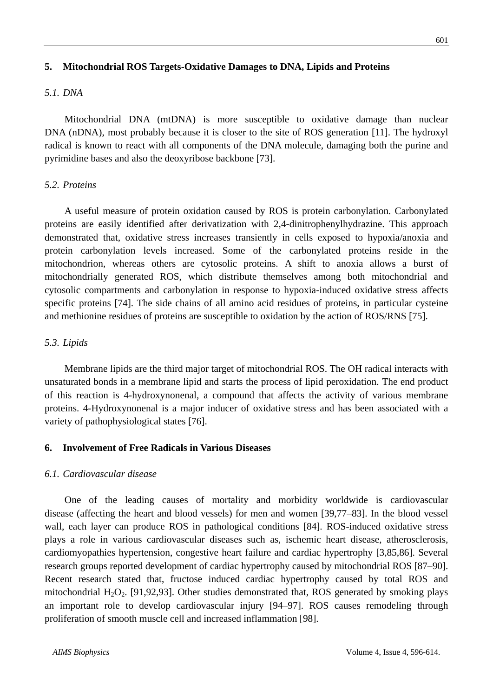## **5. Mitochondrial ROS Targets-Oxidative Damages to DNA, Lipids and Proteins**

#### *5.1. DNA*

Mitochondrial DNA (mtDNA) is more susceptible to oxidative damage than nuclear DNA (nDNA), most probably because it is closer to the site of ROS generation [11]. The hydroxyl radical is known to react with all components of the DNA molecule, damaging both the purine and pyrimidine bases and also the deoxyribose backbone [73].

#### *5.2. Proteins*

A useful measure of protein oxidation caused by ROS is protein carbonylation. Carbonylated proteins are easily identified after derivatization with 2,4-dinitrophenylhydrazine. This approach demonstrated that, oxidative stress increases transiently in cells exposed to hypoxia/anoxia and protein carbonylation levels increased. Some of the carbonylated proteins reside in the mitochondrion, whereas others are cytosolic proteins. A shift to anoxia allows a burst of mitochondrially generated ROS, which distribute themselves among both mitochondrial and cytosolic compartments and carbonylation in response to hypoxia-induced oxidative stress affects specific proteins [74]. The side chains of all amino acid residues of proteins, in particular cysteine and methionine residues of proteins are susceptible to oxidation by the action of ROS/RNS [75].

#### *5.3. Lipids*

Membrane lipids are the third major target of mitochondrial ROS. The OH radical interacts with unsaturated bonds in a membrane lipid and starts the process of lipid peroxidation. The end product of this reaction is 4-hydroxynonenal, a compound that affects the activity of various membrane proteins. 4-Hydroxynonenal is a major inducer of oxidative stress and has been associated with a variety of pathophysiological states [76].

#### **6. Involvement of Free Radicals in Various Diseases**

#### *6.1. Cardiovascular disease*

One of the leading causes of mortality and morbidity worldwide is cardiovascular disease (affecting the heart and blood vessels) for men and women [39,77–83]. In the blood vessel wall, each layer can produce ROS in pathological conditions [84]. ROS-induced oxidative stress plays a role in various cardiovascular diseases such as, ischemic heart disease, atherosclerosis, cardiomyopathies hypertension, congestive heart failure and cardiac hypertrophy [3,85,86]. Several research groups reported development of cardiac hypertrophy caused by mitochondrial ROS [87–90]. Recent research stated that, fructose induced cardiac hypertrophy caused by total ROS and mitochondrial  $H_2O_2$ . [91,92,93]. Other studies demonstrated that, ROS generated by smoking plays an important role to develop cardiovascular injury [94–97]. ROS causes remodeling through proliferation of smooth muscle cell and increased inflammation [98].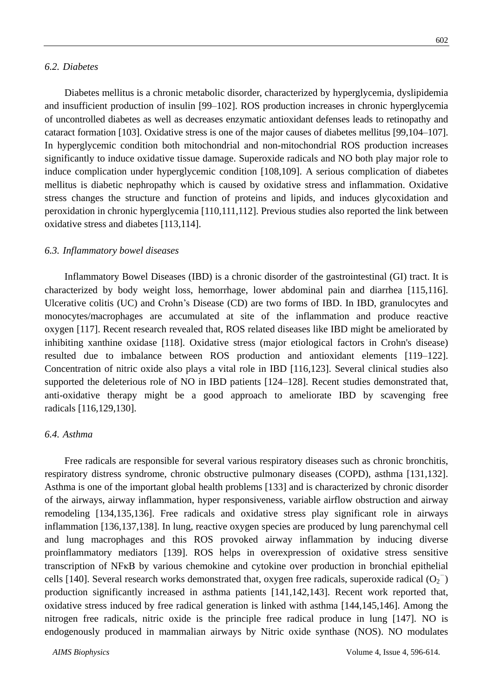#### *6.2. Diabetes*

Diabetes mellitus is a chronic metabolic disorder, characterized by hyperglycemia, dyslipidemia and insufficient production of insulin [99–102]. ROS production increases in chronic hyperglycemia of uncontrolled diabetes as well as decreases enzymatic antioxidant defenses leads to retinopathy and cataract formation [103]. Oxidative stress is one of the major causes of diabetes mellitus [99,104–107]. In hyperglycemic condition both mitochondrial and non-mitochondrial ROS production increases significantly to induce oxidative tissue damage. Superoxide radicals and NO both play major role to induce complication under hyperglycemic condition [108,109]. A serious complication of diabetes mellitus is diabetic nephropathy which is caused by oxidative stress and inflammation. Oxidative stress changes the structure and function of proteins and lipids, and induces glycoxidation and peroxidation in chronic hyperglycemia [110,111,112]. Previous studies also reported the link between oxidative stress and diabetes [113,114].

#### *6.3. Inflammatory bowel diseases*

Inflammatory Bowel Diseases (IBD) is a chronic disorder of the gastrointestinal (GI) tract. It is characterized by body weight loss, hemorrhage, lower abdominal pain and diarrhea [115,116]. Ulcerative colitis (UC) and Crohn's Disease (CD) are two forms of IBD. In IBD, granulocytes and monocytes/macrophages are accumulated at site of the inflammation and produce reactive oxygen [117]. Recent research revealed that, ROS related diseases like IBD might be ameliorated by inhibiting xanthine oxidase [118]. Oxidative stress (major etiological factors in Crohn's disease) resulted due to imbalance between ROS production and antioxidant elements [119–122]. Concentration of nitric oxide also plays a vital role in IBD [116,123]. Several clinical studies also supported the deleterious role of NO in IBD patients [124–128]. Recent studies demonstrated that, anti-oxidative therapy might be a good approach to ameliorate IBD by scavenging free radicals [116,129,130].

### *6.4. Asthma*

Free radicals are responsible for several various respiratory diseases such as chronic bronchitis, respiratory distress syndrome, chronic obstructive pulmonary diseases (COPD), asthma [131,132]. Asthma is one of the important global health problems [133] and is characterized by chronic disorder of the airways, airway inflammation, hyper responsiveness, variable airflow obstruction and airway remodeling [134,135,136]. Free radicals and oxidative stress play significant role in airways inflammation [136,137,138]. In lung, reactive oxygen species are produced by lung parenchymal cell and lung macrophages and this ROS provoked airway inflammation by inducing diverse proinflammatory mediators [139]. ROS helps in overexpression of oxidative stress sensitive transcription of NFκB by various chemokine and cytokine over production in bronchial epithelial cells [140]. Several research works demonstrated that, oxygen free radicals, superoxide radical  $(O_2^-)$ production significantly increased in asthma patients [141,142,143]. Recent work reported that, oxidative stress induced by free radical generation is linked with asthma [144,145,146]. Among the nitrogen free radicals, nitric oxide is the principle free radical produce in lung [147]. NO is endogenously produced in mammalian airways by Nitric oxide synthase (NOS). NO modulates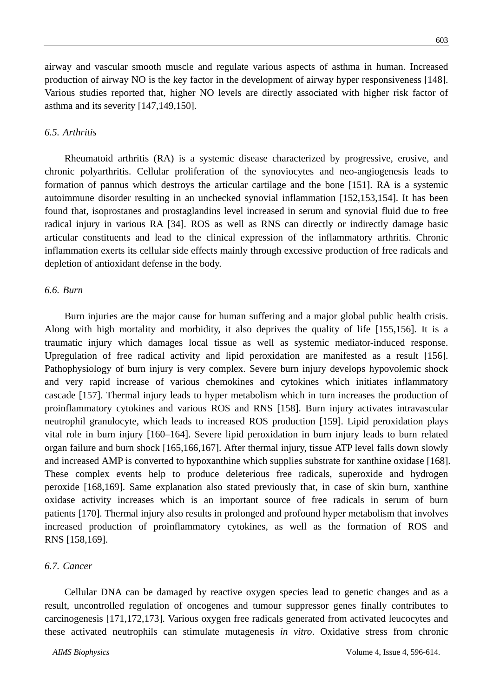airway and vascular smooth muscle and regulate various aspects of asthma in human. Increased production of airway NO is the key factor in the development of airway hyper responsiveness [148]. Various studies reported that, higher NO levels are directly associated with higher risk factor of asthma and its severity [147,149,150].

## *6.5. Arthritis*

Rheumatoid arthritis (RA) is a systemic disease characterized by progressive, erosive, and chronic polyarthritis. Cellular proliferation of the synoviocytes and neo-angiogenesis leads to formation of pannus which destroys the articular cartilage and the bone [151]. RA is a systemic autoimmune disorder resulting in an unchecked synovial inflammation [152,153,154]. It has been found that, isoprostanes and prostaglandins level increased in serum and synovial fluid due to free radical injury in various RA [34]. ROS as well as RNS can directly or indirectly damage basic articular constituents and lead to the clinical expression of the inflammatory arthritis. Chronic inflammation exerts its cellular side effects mainly through excessive production of free radicals and depletion of antioxidant defense in the body.

## *6.6. Burn*

Burn injuries are the major cause for human suffering and a major global public health crisis. Along with high mortality and morbidity, it also deprives the quality of life [155,156]. It is a traumatic injury which damages local tissue as well as systemic mediator-induced response. Upregulation of free radical activity and lipid peroxidation are manifested as a result [156]. Pathophysiology of burn injury is very complex. Severe burn injury develops hypovolemic shock and very rapid increase of various chemokines and cytokines which initiates inflammatory cascade [157]. Thermal injury leads to hyper metabolism which in turn increases the production of proinflammatory cytokines and various ROS and RNS [158]. Burn injury activates intravascular neutrophil granulocyte, which leads to increased ROS production [159]. Lipid peroxidation plays vital role in burn injury [160–164]. Severe lipid peroxidation in burn injury leads to burn related organ failure and burn shock [165,166,167]. After thermal injury, tissue ATP level falls down slowly and increased AMP is converted to hypoxanthine which supplies substrate for xanthine oxidase [168]. These complex events help to produce deleterious free radicals, superoxide and hydrogen peroxide [168,169]. Same explanation also stated previously that, in case of skin burn, xanthine oxidase activity increases which is an important source of free radicals in serum of burn patients [170]. Thermal injury also results in prolonged and profound hyper metabolism that involves increased production of proinflammatory cytokines, as well as the formation of ROS and RNS [158,169].

## *6.7. Cancer*

Cellular DNA can be damaged by reactive oxygen species lead to genetic changes and as a result, uncontrolled regulation of oncogenes and tumour suppressor genes finally contributes to carcinogenesis [171,172,173]. Various oxygen free radicals generated from activated leucocytes and these activated neutrophils can stimulate mutagenesis *in vitro*. Oxidative stress from chronic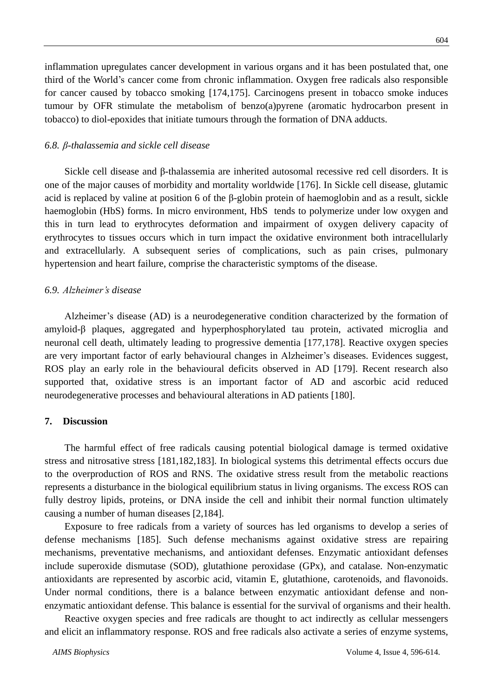inflammation upregulates cancer development in various organs and it has been postulated that, one third of the World's cancer come from chronic inflammation. Oxygen free radicals also responsible for cancer caused by tobacco smoking [174,175]. Carcinogens present in tobacco smoke induces tumour by OFR stimulate the metabolism of benzo(a)pyrene (aromatic hydrocarbon present in tobacco) to diol-epoxides that initiate tumours through the formation of DNA adducts.

#### *6.8. β-thalassemia and sickle cell disease*

Sickle cell disease and β-thalassemia are inherited autosomal recessive red cell disorders. It is one of the major causes of morbidity and mortality worldwide [176]. In Sickle cell disease, glutamic acid is replaced by valine at position 6 of the  $\beta$ -globin protein of haemoglobin and as a result, sickle haemoglobin (HbS) forms. In micro environment, HbS tends to polymerize under low oxygen and this in turn lead to erythrocytes deformation and impairment of oxygen delivery capacity of erythrocytes to tissues occurs which in turn impact the oxidative environment both intracellularly and extracellularly. A subsequent series of complications, such as pain crises, pulmonary hypertension and heart failure, comprise the characteristic symptoms of the disease.

#### *6.9. Alzheimer's disease*

Alzheimer's disease (AD) is a neurodegenerative condition characterized by the formation of amyloid-β plaques, aggregated and hyperphosphorylated tau protein, activated microglia and neuronal cell death, ultimately leading to progressive dementia [177,178]. Reactive oxygen species are very important factor of early behavioural changes in Alzheimer's diseases. Evidences suggest, ROS play an early role in the behavioural deficits observed in AD [179]. Recent research also supported that, oxidative stress is an important factor of AD and ascorbic acid reduced neurodegenerative processes and behavioural alterations in AD patients [180].

#### **7. Discussion**

The harmful effect of free radicals causing potential biological damage is termed oxidative stress and nitrosative stress [181,182,183]. In biological systems this detrimental effects occurs due to the overproduction of ROS and RNS. The oxidative stress result from the metabolic reactions represents a disturbance in the biological equilibrium status in living organisms. The excess ROS can fully destroy lipids, proteins, or DNA inside the cell and inhibit their normal function ultimately causing a number of human diseases [2,184].

Exposure to free radicals from a variety of sources has led organisms to develop a series of defense mechanisms [185]. Such defense mechanisms against oxidative stress are repairing mechanisms, preventative mechanisms, and antioxidant defenses. Enzymatic antioxidant defenses include superoxide dismutase (SOD), glutathione peroxidase (GPx), and catalase. Non-enzymatic antioxidants are represented by ascorbic acid, vitamin E, glutathione, carotenoids, and flavonoids. Under normal conditions, there is a balance between enzymatic antioxidant defense and nonenzymatic antioxidant defense. This balance is essential for the survival of organisms and their health.

Reactive oxygen species and free radicals are thought to act indirectly as cellular messengers and elicit an inflammatory response. ROS and free radicals also activate a series of enzyme systems,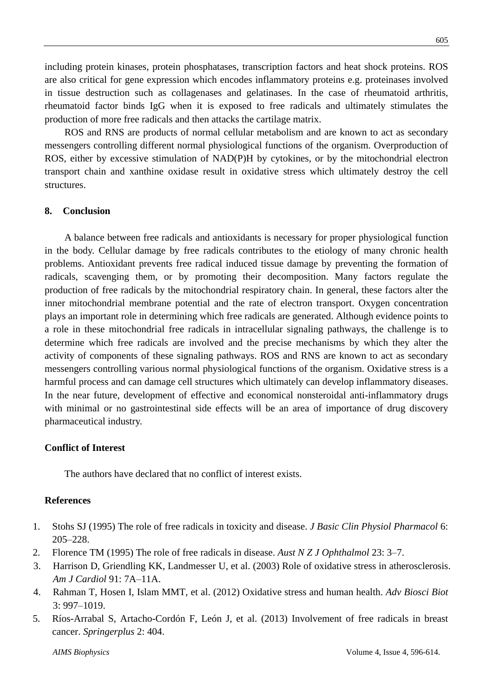including protein kinases, protein phosphatases, transcription factors and heat shock proteins. ROS are also critical for gene expression which encodes inflammatory proteins e.g. proteinases involved in tissue destruction such as collagenases and gelatinases. In the case of rheumatoid arthritis, rheumatoid factor binds IgG when it is exposed to free radicals and ultimately stimulates the production of more free radicals and then attacks the cartilage matrix.

ROS and RNS are products of normal cellular metabolism and are known to act as secondary messengers controlling different normal physiological functions of the organism. Overproduction of ROS, either by excessive stimulation of NAD(P)H by cytokines, or by the mitochondrial electron transport chain and xanthine oxidase result in oxidative stress which ultimately destroy the cell structures.

## **8. Conclusion**

A balance between free radicals and antioxidants is necessary for proper physiological function in the body. Cellular damage by free radicals contributes to the etiology of many chronic health problems. Antioxidant prevents free radical induced tissue damage by preventing the formation of radicals, scavenging them, or by promoting their decomposition. Many factors regulate the production of free radicals by the mitochondrial respiratory chain. In general, these factors alter the inner mitochondrial membrane potential and the rate of electron transport. Oxygen concentration plays an important role in determining which free radicals are generated. Although evidence points to a role in these mitochondrial free radicals in intracellular signaling pathways, the challenge is to determine which free radicals are involved and the precise mechanisms by which they alter the activity of components of these signaling pathways. ROS and RNS are known to act as secondary messengers controlling various normal physiological functions of the organism. Oxidative stress is a harmful process and can damage cell structures which ultimately can develop inflammatory diseases. In the near future, development of effective and economical nonsteroidal anti-inflammatory drugs with minimal or no gastrointestinal side effects will be an area of importance of drug discovery pharmaceutical industry.

## **Conflict of Interest**

The authors have declared that no conflict of interest exists.

## **References**

- 1. [Stohs](https://www.ncbi.nlm.nih.gov/pubmed/?term=Stohs%20SJ%5BAuthor%5D&cauthor=true&cauthor_uid=8852268) SJ (1995) The role of free radicals in toxicity and disease. *J Basic Clin Physiol [Pharmacol](https://www.ncbi.nlm.nih.gov/pubmed/8852268)* 6: 205–228.
- 2. [Florence](https://www.ncbi.nlm.nih.gov/pubmed/?term=Florence%20TM%5BAuthor%5D&cauthor=true&cauthor_uid=7619452) TM (1995) The role of free radicals in disease. *Aust N Z J [Ophthalmol](https://www.ncbi.nlm.nih.gov/pubmed/7619452)* 23: 3–7.
- 3. Harrison D, Griendling KK, Landmesser U, et al. (2003) Role of oxidative stress in atherosclerosis. *Am J Cardiol* 91: 7A–11A.
- 4. Rahman T, Hosen I, Islam MMT, et al. (2012) Oxidative stress and human health. *Adv Biosci Biot*  $3.997 - 1019$
- 5. [Ríos-Arrabal](https://www.ncbi.nlm.nih.gov/pubmed/?term=R%C3%ADos-Arrabal%20S%5BAuthor%5D&cauthor=true&cauthor_uid=24024092) S, [Artacho-Cordón](https://www.ncbi.nlm.nih.gov/pubmed/?term=Artacho-Cord%C3%B3n%20F%5BAuthor%5D&cauthor=true&cauthor_uid=24024092) F, [León](https://www.ncbi.nlm.nih.gov/pubmed/?term=Le%C3%B3n%20J%5BAuthor%5D&cauthor=true&cauthor_uid=24024092) J, et al. (2013) Involvement of free radicals in breast cancer. *[Springerplus](https://www.ncbi.nlm.nih.gov/pubmed/24024092)* 2: 404.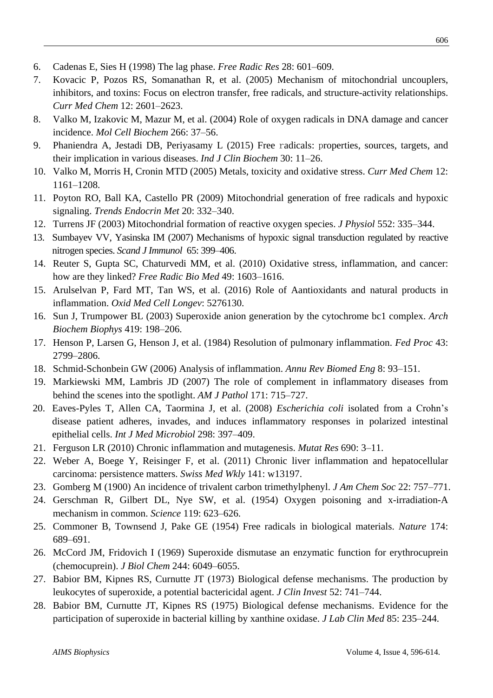606

- 6. Cadenas E, Sies H (1998) The lag phase. *Free Radic Res* 28: 601–609.
- 7. Kovacic P, Pozos RS, Somanathan R, et al. (2005) Mechanism of mitochondrial uncouplers, inhibitors, and toxins: Focus on electron transfer, free radicals, and structure-activity relationships. *Curr Med Chem* 12: 2601–2623.
- 8. Valko M, Izakovic M, Mazur M, et al. (2004) Role of oxygen radicals in DNA damage and cancer incidence. *Mol Cell Biochem* 266: 37–56.
- 9. Phaniendra A, Jestadi DB, Periyasamy L (2015) Free radicals: properties, sources, targets, and their implication in various diseases. *Ind J Clin Biochem* 30: 11–26.
- 10. Valko M, Morris H, Cronin MTD (2005) Metals, toxicity and oxidative stress. *Curr Med Chem* 12: 1161–1208.
- 11. Poyton RO, Ball KA, Castello PR (2009) Mitochondrial generation of free radicals and hypoxic signaling. *Trends Endocrin Met* 20: 332–340.
- 12. Turrens JF (2003) Mitochondrial formation of reactive oxygen species. *J Physiol* 552: 335–344.
- 13. [Sumbayev](https://www.ncbi.nlm.nih.gov/pubmed/?term=Sumbayev%20VV%5BAuthor%5D&cauthor=true&cauthor_uid=17444949) VV, [Yasinska](https://www.ncbi.nlm.nih.gov/pubmed/?term=Yasinska%20IM%5BAuthor%5D&cauthor=true&cauthor_uid=17444949) IM (2007) Mechanisms of hypoxic signal transduction regulated by reactive nitrogen species. *Scand J [Immunol](https://www.ncbi.nlm.nih.gov/pubmed/17444949)* 65: 399–406.
- 14. Reuter S, Gupta SC, Chaturvedi MM, et al. (2010) Oxidative stress, inflammation, and cancer: how are they linked? *Free Radic Bio Med* 49: 1603–1616.
- 15. Arulselvan P, Fard MT, Tan WS, et al. (2016) Role of Aantioxidants and natural products in inflammation. *Oxid Med Cell Longev*: 5276130.
- 16. Sun J, Trumpower BL (2003) Superoxide anion generation by the cytochrome bc1 complex. *Arch Biochem Biophys* 419: 198–206.
- 17. Henson P, Larsen G, Henson J, et al. (1984) Resolution of pulmonary inflammation. *Fed Proc* 43: 2799–2806.
- 18. Schmid-Schonbein GW (2006) Analysis of inflammation. *Annu Rev Biomed Eng* 8: 93–151.
- 19. Markiewski MM, Lambris JD (2007) The role of complement in inflammatory diseases from behind the scenes into the spotlight. *AM J Pathol* 171: 715–727.
- 20. [Eaves-Pyles](https://www.ncbi.nlm.nih.gov/pubmed/?term=Eaves-Pyles%20T%5BAuthor%5D&cauthor=true&cauthor_uid=17900983) T, [Allen](https://www.ncbi.nlm.nih.gov/pubmed/?term=Allen%20CA%5BAuthor%5D&cauthor=true&cauthor_uid=17900983) CA, [Taormina](https://www.ncbi.nlm.nih.gov/pubmed/?term=Taormina%20J%5BAuthor%5D&cauthor=true&cauthor_uid=17900983) J, et al. (2008) *Escherichia coli* isolated from a Crohn's disease patient adheres, invades, and induces inflammatory responses in polarized intestinal epithelial cells. *Int J Med [Microbiol](https://www.ncbi.nlm.nih.gov/pubmed/?term=Escherichia+coli+isolated+from+a+Crohn%E2%80%99s+disease+patient+adheres%2C+invades%2C+and+induces+inflammatory+responses+in+polarized+intestinal+epithelial+cells)* 298: 397–409.
- 21. Ferguson LR (2010) Chronic inflammation and mutagenesis. *Mutat Res* 690: 3–11.
- 22. Weber A, Boege Y, Reisinger F, et al. (2011) Chronic liver inflammation and hepatocellular carcinoma: persistence matters. *Swiss Med Wkly* 141: w13197.
- 23. Gomberg M (1900) An incidence of trivalent carbon trimethylphenyl. *J Am Chem Soc* 22: 757–771.
- 24. Gerschman R, Gilbert DL, Nye SW, et al. (1954) Oxygen poisoning and x-irradiation-A mechanism in common. *Science* 119: 623–626.
- 25. Commoner B, Townsend J, Pake GE (1954) Free radicals in biological materials. *Nature* 174: 689–691.
- 26. McCord JM, Fridovich I (1969) Superoxide dismutase an enzymatic function for erythrocuprein (chemocuprein). *J Biol Chem* 244: 6049–6055.
- 27. Babior BM, Kipnes RS, Curnutte JT (1973) Biological defense [mechanisms.](https://www.ncbi.nlm.nih.gov/pubmed/4346473) The production by leukocytes of superoxide, a potential [bactericidal](https://www.ncbi.nlm.nih.gov/pubmed/4346473) agent. *J Clin Invest* 52: 741–744.
- 28. Babior BM, Curnutte JT, Kipnes RS (1975) Biological defense [mechanisms.](https://www.ncbi.nlm.nih.gov/pubmed/1089740) Evidence for the [participation](https://www.ncbi.nlm.nih.gov/pubmed/1089740) of superoxide in bacterial killing by xanthine oxidase. *J Lab Clin Med* 85: 235–244.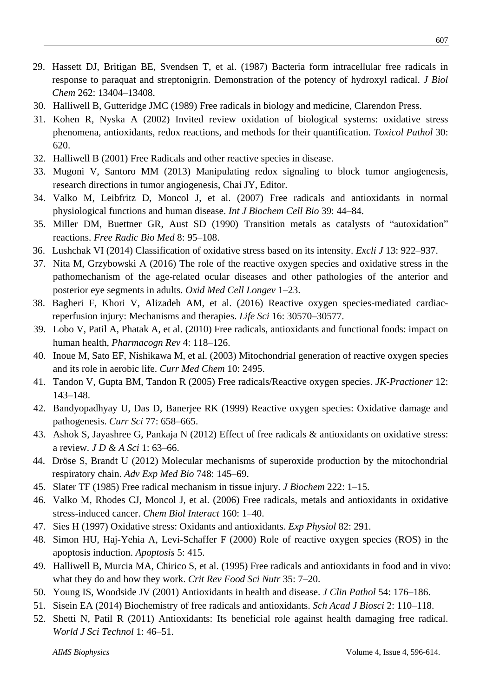- 29. [Hassett](https://www.ncbi.nlm.nih.gov/pubmed/?term=Hassett%20DJ%5BAuthor%5D&cauthor=true&cauthor_uid=2820968) DJ, [Britigan](https://www.ncbi.nlm.nih.gov/pubmed/?term=Britigan%20BE%5BAuthor%5D&cauthor=true&cauthor_uid=2820968) BE, [Svendsen](https://www.ncbi.nlm.nih.gov/pubmed/?term=Svendsen%20T%5BAuthor%5D&cauthor=true&cauthor_uid=2820968) T, et al. (1987) Bacteria form intracellular free radicals in response to paraquat and streptonigrin. Demonstration of the potency of hydroxyl radical. *J [Biol](https://www.ncbi.nlm.nih.gov/pubmed/2820968) [Chem](https://www.ncbi.nlm.nih.gov/pubmed/2820968)* 262: 13404–13408.
- 30. Halliwell B, Gutteridge JMC (1989) Free radicals in biology and medicine, Clarendon Press.
- 31. Kohen R, Nyska A (2002) Invited review oxidation of biological systems: oxidative stress phenomena, antioxidants, redox reactions, and methods for their quantification. *Toxicol Pathol* 30: 620.
- 32. Halliwell B (2001) Free Radicals and other reactive species in disease.
- 33. Mugoni V, Santoro MM (2013) Manipulating redox signaling to block tumor angiogenesis, research directions in tumor angiogenesis, Chai JY, Editor.
- 34. Valko M, Leibfritz D, Moncol J, et al. (2007) Free radicals and antioxidants in normal physiological functions and human disease. *Int J Biochem Cell Bio* 39: 44–84.
- 35. Miller DM, Buettner GR, Aust SD (1990) Transition metals as catalysts of "autoxidation" reactions. *Free Radic Bio Med* 8: 95–108.
- 36. [Lushchak](https://www.ncbi.nlm.nih.gov/pubmed/?term=Lushchak%20VI%5BAuthor%5D&cauthor=true&cauthor_uid=26417312) VI (2014) Classification of oxidative stress based on its intensity. *[Excli](https://www.ncbi.nlm.nih.gov/pubmed/26417312) J* 13: 922–937.
- 37. Nita M, Grzybowski A (2016) The role of the reactive oxygen species and oxidative stress in the pathomechanism of the age-related ocular diseases and other pathologies of the anterior and posterior eye segments in adults. *Oxid Med Cell Longev* 1–23.
- 38. [Bagheri](https://www.ncbi.nlm.nih.gov/pubmed/?term=Bagheri%20F%5BAuthor%5D&cauthor=true&cauthor_uid=27667751) F, [Khori](https://www.ncbi.nlm.nih.gov/pubmed/?term=Khori%20V%5BAuthor%5D&cauthor=true&cauthor_uid=27667751) V, [Alizadeh](https://www.ncbi.nlm.nih.gov/pubmed/?term=Alizadeh%20AM%5BAuthor%5D&cauthor=true&cauthor_uid=27667751) AM, et al. (2016) Reactive oxygen species-mediated cardiacreperfusion injury: Mechanisms and therapies. *[Life](https://www.ncbi.nlm.nih.gov/pubmed/27667751) Sci* 16: 30570–30577.
- 39. Lobo V, Patil A, Phatak A, et al. (2010) Free radicals, antioxidants and functional foods: impact on human health, *Pharmacogn Rev* 4: 118–126.
- 40. Inoue M, Sato EF, Nishikawa M, et al. (2003) Mitochondrial generation of reactive oxygen species and its role in aerobic life. *Curr Med Chem* 10: 2495.
- 41. Tandon V, Gupta BM, Tandon R (2005) Free radicals/Reactive oxygen species. *JK-Practioner* 12: 143–148.
- 42. Bandyopadhyay U, Das D, Banerjee RK (1999) Reactive oxygen species: Oxidative damage and pathogenesis. *Curr Sci* 77: 658–665.
- 43. Ashok S, Jayashree G, Pankaja N (2012) Effect of free radicals & antioxidants on oxidative stress: a review. *J D & A Sci* 1: 63–66.
- 44. [Dröse](https://www.ncbi.nlm.nih.gov/pubmed/?term=Dr%C3%B6se%20S%5BAuthor%5D&cauthor=true&cauthor_uid=22729857) S, [Brandt](https://www.ncbi.nlm.nih.gov/pubmed/?term=Brandt%20U%5BAuthor%5D&cauthor=true&cauthor_uid=22729857) U (2012) Molecular mechanisms of superoxide production by the mitochondrial respiratory chain. *Adv Exp [Med](https://www.ncbi.nlm.nih.gov/pubmed/22729857) Bio* 748: 145–69.
- 45. Slater TF (1985) Free radical mechanism in tissue injury. *J Biochem* 222: 1–15.
- 46. Valko M, Rhodes CJ, Moncol J, et al. (2006) Free radicals, metals and antioxidants in oxidative stress-induced cancer. *Chem Biol Interact* 160: 1–40.
- 47. Sies H (1997) Oxidative stress: Oxidants and antioxidants. *Exp Physiol* 82: 291.
- 48. Simon HU, Haj-Yehia A, Levi-Schaffer F (2000) Role of reactive oxygen species (ROS) in the apoptosis induction. *Apoptosis* 5: 415.
- 49. Halliwell B, Murcia MA, Chirico S, et al. (1995) Free radicals and antioxidants in food and in vivo: what they do and how they work. *Crit Rev Food Sci Nutr* 35: 7–20.
- 50. Young IS, Woodside JV (2001) Antioxidants in health and disease. *J Clin Pathol* 54: 176–186.
- 51. Sisein EA (2014) Biochemistry of free radicals and antioxidants. *Sch Acad J Biosci* 2: 110–118.
- 52. Shetti N, Patil R (2011) Antioxidants: Its beneficial role against health damaging free radical. *World J Sci Technol* 1: 46–51.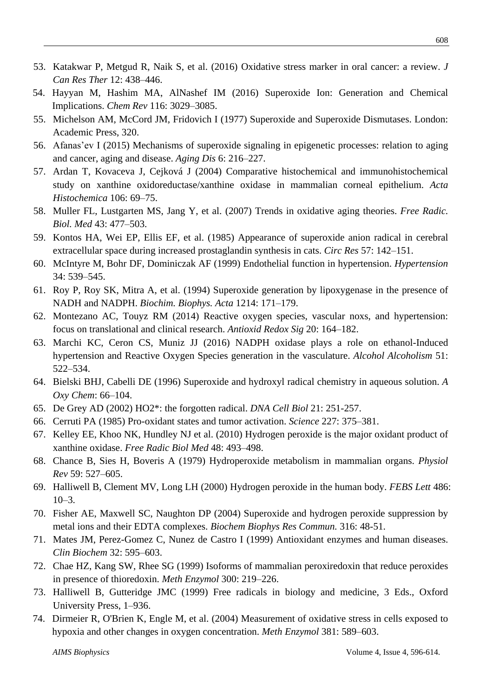- 53. Katakwar P, Metgud R, Naik S, et al. (2016) Oxidative stress marker in oral cancer: a review. *J Can Res Ther* 12: 438–446.
- 54. [Hayyan](https://www.ncbi.nlm.nih.gov/pubmed/?term=Hayyan%20M%5BAuthor%5D&cauthor=true&cauthor_uid=26875845) M, [Hashim](https://www.ncbi.nlm.nih.gov/pubmed/?term=Hashim%20MA%5BAuthor%5D&cauthor=true&cauthor_uid=26875845) MA, [AlNashef](https://www.ncbi.nlm.nih.gov/pubmed/?term=AlNashef%20IM%5BAuthor%5D&cauthor=true&cauthor_uid=26875845) IM (2016) Superoxide Ion: Generation and Chemical Implications. *[Chem](https://www.ncbi.nlm.nih.gov/pubmed/26875845) Rev* 116: 3029–3085.
- 55. Michelson AM, McCord JM, Fridovich I (1977) Superoxide and Superoxide Dismutases. London: Academic Press, 320.
- 56. Afanas'ev I (2015) Mechanisms of superoxide signaling in epigenetic processes: relation to aging and cancer, aging and disease. *[Aging](https://www.ncbi.nlm.nih.gov/pubmed/?term=Mechanisms+of+Superoxide+Signaling+in+Epigenetic+Processes%3A+Relation+to+Aging+and+Cancer%2C+Aging+and+Disease) Dis* 6: 216–227.
- 57. Ardan T, Kovaceva J, CejkováJ (2004) Comparative histochemical and immunohistochemical study on xanthine oxidoreductase/xanthine oxidase in mammalian corneal epithelium. *Acta Histochemica* 106: 69–75.
- 58. Muller FL, Lustgarten MS, Jang Y, et al. (2007) Trends in oxidative aging theories. *Free Radic. Biol. Med* 43: 477–503.
- 59. Kontos HA, Wei EP, Ellis EF, et al. (1985) Appearance of superoxide anion radical in cerebral extracellular space during increased prostaglandin synthesis in cats. *Circ Res* 57: 142–151.
- 60. McIntyre M, Bohr DF, Dominiczak AF (1999) Endothelial function in hypertension. *Hypertension* 34: 539–545.
- 61. Roy P, Roy SK, Mitra A, et al. (1994) Superoxide generation by lipoxygenase in the presence of NADH and NADPH. *Biochim. Biophys. Acta* 1214: 171–179.
- 62. Montezano AC, Touyz RM (2014) Reactive oxygen species, vascular noxs, and hypertension: focus on translational and clinical research. *Antioxid Redox Sig* 20: 164–182.
- 63. Marchi KC, Ceron CS, Muniz JJ (2016) NADPH oxidase plays a role on ethanol-Induced hypertension and Reactive Oxygen Species generation in the vasculature. *Alcohol Alcoholism* 51: 522–534.
- 64. Bielski BHJ, Cabelli DE (1996) Superoxide and hydroxyl radical chemistry in aqueous solution. *A Oxy Chem*: 66–104.
- 65. De Grey AD (2002) HO2\*: the forgotten radical. *[DNA](https://www.ncbi.nlm.nih.gov/pubmed/12042065) Cell Biol* 21: 251-257.
- 66. Cerruti PA (1985) Pro-oxidant states and tumor activation. *Science* 227: 375–381.
- 67. [Kelley](https://www.ncbi.nlm.nih.gov/pubmed/?term=Kelley%20EE%5BAuthor%5D&cauthor=true&cauthor_uid=19941951) EE, [Khoo](https://www.ncbi.nlm.nih.gov/pubmed/?term=Khoo%20NK%5BAuthor%5D&cauthor=true&cauthor_uid=19941951) NK, [Hundley](https://www.ncbi.nlm.nih.gov/pubmed/?term=Hundley%20NJ%5BAuthor%5D&cauthor=true&cauthor_uid=19941951) NJ et al. (2010) Hydrogen peroxide is the major oxidant product of xanthine oxidase. *Free [Radic](https://www.ncbi.nlm.nih.gov/pubmed/19941951) Biol Med* 48: 493–498.
- 68. [Chance](https://www.ncbi.nlm.nih.gov/pubmed/?term=Chance%20B%5BAuthor%5D&cauthor=true&cauthor_uid=37532) B, [Sies](https://www.ncbi.nlm.nih.gov/pubmed/?term=Sies%20H%5BAuthor%5D&cauthor=true&cauthor_uid=37532) H, [Boveris](https://www.ncbi.nlm.nih.gov/pubmed/?term=Boveris%20A%5BAuthor%5D&cauthor=true&cauthor_uid=37532) A (1979) Hydroperoxide metabolism in mammalian organs. *[Physiol](https://www.ncbi.nlm.nih.gov/pubmed/37532) [Rev](https://www.ncbi.nlm.nih.gov/pubmed/37532)* 59: 527–605.
- 69. Halliwell B, Clement MV, Long LH (2000) [Hydrogen peroxide](https://www.ncbi.nlm.nih.gov/pubmed/11108833) in the human body. *FEBS Lett* 486:  $10-3$ .
- 70. [Fisher AE,](https://www.ncbi.nlm.nih.gov/pubmed/?term=Fisher%20AE%5BAuthor%5D&cauthor=true&cauthor_uid=15003509) [Maxwell SC,](https://www.ncbi.nlm.nih.gov/pubmed/?term=Maxwell%20SC%5BAuthor%5D&cauthor=true&cauthor_uid=15003509) [Naughton DP](https://www.ncbi.nlm.nih.gov/pubmed/?term=Naughton%20DP%5BAuthor%5D&cauthor=true&cauthor_uid=15003509) (2004) Superoxide and hydrogen peroxide suppression by metal ions and their EDTA complexes. *[Biochem Biophys Res Commun.](https://www.ncbi.nlm.nih.gov/pubmed/15003509)* 316: 48-51.
- 71. Mates JM, Perez-Gomez C, Nunez de Castro I (1999) Antioxidant enzymes and human diseases. *Clin Biochem* 32: 595–603.
- 72. Chae HZ, Kang SW, Rhee SG (1999) Isoforms of mammalian peroxiredoxin that reduce peroxides in presence of thioredoxin. *Meth Enzymol* 300: 219–226.
- 73. Halliwell B, Gutteridge JMC (1999) Free radicals in biology and medicine, 3 Eds., Oxford University Press, 1–936.
- 74. [Dirmeier](https://www.ncbi.nlm.nih.gov/pubmed/?term=Dirmeier%20R%5BAuthor%5D&cauthor=true&cauthor_uid=15063700) R, [O'Brien](https://www.ncbi.nlm.nih.gov/pubmed/?term=O%27Brien%20K%5BAuthor%5D&cauthor=true&cauthor_uid=15063700) K, [Engle](https://www.ncbi.nlm.nih.gov/pubmed/?term=Engle%20M%5BAuthor%5D&cauthor=true&cauthor_uid=15063700) M, et al. (2004) Measurement of oxidative stress in cells exposed to hypoxia and other changes in oxygen concentration. *Meth [Enzymol](https://www.ncbi.nlm.nih.gov/pubmed/?term=Measurement+of+oxidative+stress+in+cells+exposed+to+hypoxia+and+other+changes+in+oxygen+concentration)* 381: 589–603.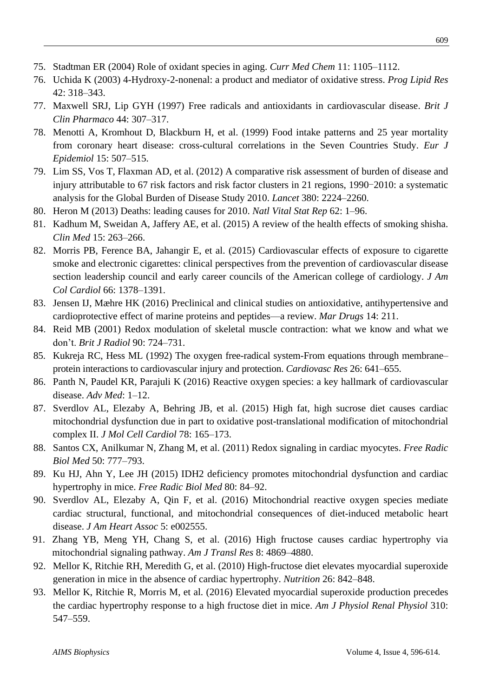- 75. Stadtman ER (2004) Role of oxidant species in aging. *Curr Med Chem* 11: 1105–1112.
- 76. Uchida K (2003) 4-Hydroxy-2-nonenal: a product and mediator of oxidative stress. *Prog Lipid Res* 42: 318–343.
- 77. Maxwell SRJ, Lip GYH (1997) Free radicals and antioxidants in cardiovascular disease. *Brit J Clin Pharmaco* 44: 307–317.
- 78. Menotti A, Kromhout D, Blackburn H, et al. (1999) Food intake patterns and 25 year mortality from coronary heart disease: cross-cultural correlations in the Seven Countries Study. *Eur J Epidemiol* 15: 507–515.
- 79. Lim SS, Vos T, Flaxman AD, et al. (2012) A comparative risk assessment of burden of disease and injury attributable to 67 risk factors and risk factor clusters in 21 regions, 1990-2010: a systematic analysis for the Global Burden of Disease Study 2010. *Lancet* 380: 2224–2260.
- 80. Heron M (2013) Deaths: leading causes for 2010. *Natl Vital Stat Rep* 62: 1–96.
- 81. Kadhum M, Sweidan A, Jaffery AE, et al. (2015) A review of the health effects of smoking shisha. *Clin Med* 15: 263–266.
- 82. Morris PB, Ference BA, Jahangir E, et al. (2015) Cardiovascular effects of exposure to cigarette smoke and electronic cigarettes: clinical perspectives from the prevention of cardiovascular disease section leadership council and early career councils of the American college of cardiology. *J Am Col Cardiol* 66: 1378–1391.
- 83. Jensen IJ, Mæhre HK (2016) Preclinical and clinical studies on antioxidative, antihypertensive and cardioprotective effect of marine proteins and peptides—a review. *Mar Drugs* 14: 211.
- 84. Reid MB (2001) Redox modulation of skeletal muscle contraction: what we know and what we don't. *Brit J Radiol* 90: 724–731.
- 85. Kukreja RC, Hess ML (1992) The oxygen free-radical system-From equations through membrane– protein interactions to cardiovascular injury and protection. *Cardiovasc Res* 26: 641–655.
- 86. Panth N, Paudel KR, Parajuli K (2016) Reactive oxygen species: a key hallmark of cardiovascular disease. *Adv [Med](https://www.ncbi.nlm.nih.gov/pubmed/27774507)*: 1–12.
- 87. Sverdlov AL, Elezaby A, Behring JB, et al. (2015) High fat, high sucrose diet causes cardiac mitochondrial dysfunction due in part to oxidative post-translational modification of mitochondrial complex II. *J Mol Cell Cardiol* 78: 165–173.
- 88. Santos CX, Anilkumar N, Zhang M, et al. (2011) Redox signaling in cardiac myocytes. *Free Radic Biol Med* 50: 777–793.
- 89. Ku HJ, Ahn Y, Lee JH (2015) IDH2 deficiency promotes mitochondrial dysfunction and cardiac hypertrophy in mice. *Free Radic Biol Med* 80: 84–92.
- 90. Sverdlov AL, Elezaby A, Qin F, et al. (2016) Mitochondrial reactive oxygen species mediate cardiac structural, functional, and mitochondrial consequences of diet‐induced metabolic heart disease. *J Am Heart Assoc* 5: e002555.
- 91. [Zhang](https://www.ncbi.nlm.nih.gov/pubmed/?term=Zhang%20YB%5BAuthor%5D&cauthor=true&cauthor_uid=27904687) YB, [Meng](https://www.ncbi.nlm.nih.gov/pubmed/?term=Meng%20YH%5BAuthor%5D&cauthor=true&cauthor_uid=27904687) YH, [Chang](https://www.ncbi.nlm.nih.gov/pubmed/?term=Chang%20S%5BAuthor%5D&cauthor=true&cauthor_uid=27904687) S, et al. (2016) High fructose causes cardiac hypertrophy via mitochondrial signaling pathway. *Am J [Transl](https://www.ncbi.nlm.nih.gov/pmc/articles/PMC5126329/) Res* 8: 4869–4880.
- 92. Mellor K, Ritchie RH, Meredith G, et al. (2010) High-fructose diet elevates myocardial superoxide generation in mice in the absence of cardiac hypertrophy. *Nutrition* 26: 842–848.
- 93. Mellor K, Ritchie R, Morris M, et al. (2016) Elevated myocardial superoxide production precedes the cardiac hypertrophy response to a high fructose diet in mice. *Am J Physiol Renal Physiol* 310: 547–559.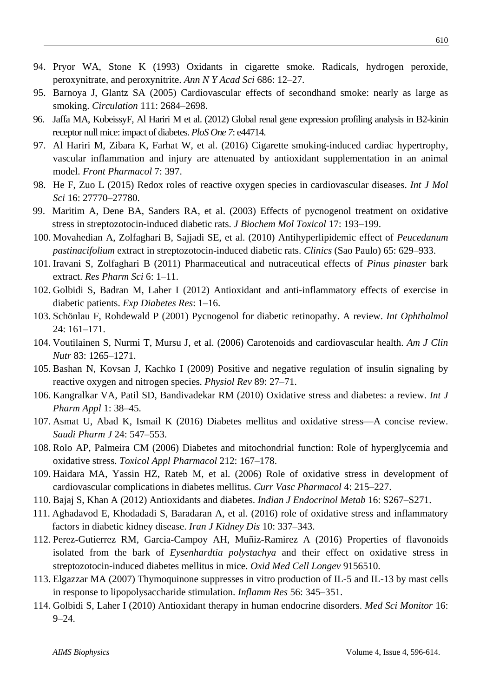- 94. Pryor WA, Stone K (1993) Oxidants in cigarette smoke. Radicals, hydrogen peroxide, peroxynitrate, and peroxynitrite. *Ann N Y Acad Sci* 686: 12–27.
- 95. Barnoya J, Glantz SA (2005) Cardiovascular effects of secondhand smoke: nearly as large as smoking. *Circulation* 111: 2684–2698.
- 96. Jaffa MA, KobeissyF, Al Hariri M et al. (2012) Global renal gene expression profiling analysis in B2-kinin receptor null mice: impact of diabetes. *PloS One 7*: e44714.
- 97. Al Hariri M, Zibara K, Farhat W, et al. (2016) Cigarette smoking-induced cardiac hypertrophy, vascular inflammation and injury are attenuated by antioxidant supplementation in an animal model. *Front Pharmacol* 7: 397.
- 98. He F, Zuo L (2015) Redox roles of reactive oxygen species in cardiovascular diseases. *Int J [Mol](https://www.ncbi.nlm.nih.gov/pubmed/26610475) [Sci](https://www.ncbi.nlm.nih.gov/pubmed/26610475)* 16: 27770–27780.
- 99. [Maritim](https://www.ncbi.nlm.nih.gov/pubmed/?term=Maritim%20A%5BAuthor%5D&cauthor=true&cauthor_uid=12815616) A, [Dene](https://www.ncbi.nlm.nih.gov/pubmed/?term=Dene%20BA%5BAuthor%5D&cauthor=true&cauthor_uid=12815616) BA, [Sanders](https://www.ncbi.nlm.nih.gov/pubmed/?term=Sanders%20RA%5BAuthor%5D&cauthor=true&cauthor_uid=12815616) RA, et al. (2003) Effects of pycnogenol treatment on oxidative stress in streptozotocin-induced diabetic rats. *J [Biochem](https://www.ncbi.nlm.nih.gov/pubmed/12815616) Mol Toxicol* 17: 193–199.
- 100. Movahedian A, Zolfaghari B, Sajjadi SE, et al. (2010) Antihyperlipidemic effect of *Peucedanum pastinacifolium* extract in streptozotocin-induced diabetic rats. *Clinics* (Sao Paulo) 65: 629–933.
- 101. Iravani S, Zolfaghari B (2011) Pharmaceutical and nutraceutical effects of *Pinus pinaster* bark extract. *Res Pharm Sci* 6: 1–11.
- 102. Golbidi S, Badran M, Laher I (2012) Antioxidant and anti-inflammatory effects of exercise in diabetic patients. *Exp Diabetes Res*: 1–16.
- 103. Schönlau F, Rohdewald P (2001) Pycnogenol for diabetic retinopathy. A review. *Int Ophthalmol* 24: 161–171.
- 104. Voutilainen S, Nurmi T, Mursu J, et al. (2006) Carotenoids and cardiovascular health. *Am J Clin Nutr* 83: 1265–1271.
- 105. Bashan N, Kovsan J, Kachko I (2009) Positive and negative regulation of insulin signaling by reactive oxygen and nitrogen species. *Physiol Rev* 89: 27–71.
- 106. Kangralkar VA, Patil SD, Bandivadekar RM (2010) Oxidative stress and diabetes: a review. *Int J Pharm Appl* 1: 38–45.
- 107. Asmat U, Abad K, Ismail K (2016) Diabetes mellitus and oxidative stress—A concise review. *Saudi Pharm J* 24: 547–553.
- 108. Rolo AP, Palmeira CM (2006) Diabetes and mitochondrial function: Role of hyperglycemia and oxidative stress. *Toxicol Appl Pharmacol* 212: 167–178.
- 109. Haidara MA, Yassin HZ, Rateb M, et al. (2006) Role of oxidative stress in development of cardiovascular complications in diabetes mellitus. *Curr Vasc Pharmacol* 4: 215–227.
- 110. Bajaj S, Khan A (2012) Antioxidants and diabetes. *Indian J Endocrinol Metab* 16: S267–S271.
- 111. [Aghadavod](https://www.ncbi.nlm.nih.gov/pubmed/?term=Aghadavod%20E%5BAuthor%5D&cauthor=true&cauthor_uid=27903991) E, [Khodadadi](https://www.ncbi.nlm.nih.gov/pubmed/?term=Khodadadi%20S%5BAuthor%5D&cauthor=true&cauthor_uid=27903991) S, [Baradaran](https://www.ncbi.nlm.nih.gov/pubmed/?term=Baradaran%20A%5BAuthor%5D&cauthor=true&cauthor_uid=27903991) A, et al. (2016) role of oxidative stress and inflammatory factors in diabetic kidney disease. *Iran J [Kidney](https://www.ncbi.nlm.nih.gov/pubmed/27903991) Dis* 10: 337–343.
- 112. Perez-Gutierrez RM, Garcia-Campoy AH, Muñiz-Ramirez A (2016) Properties of flavonoids isolated from the bark of *Eysenhardtia polystachya* and their effect on oxidative stress in streptozotocin-induced diabetes mellitus in mice. *Oxid Med Cell Longev* 9156510.
- 113. Elgazzar MA (2007) Thymoquinone suppresses in vitro production of IL-5 and IL-13 by mast cells in response to lipopolysaccharide stimulation. *Inflamm Res* 56: 345–351.
- 114. Golbidi S, Laher I (2010) Antioxidant therapy in human endocrine disorders. *Med Sci Monitor* 16: 9–24.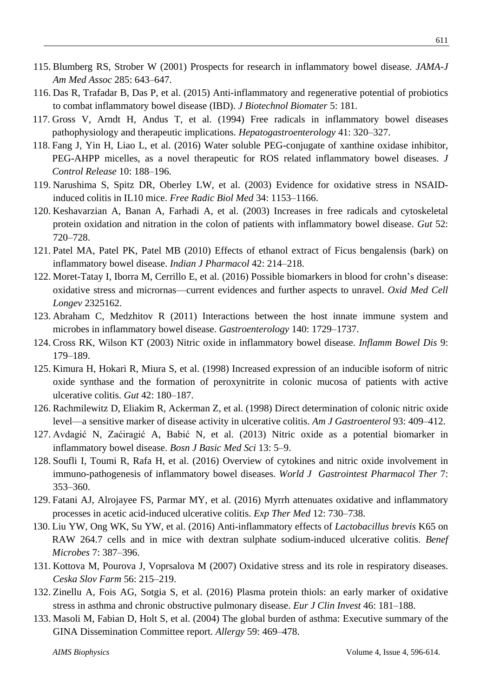- 115. Blumberg RS, Strober W (2001) Prospects for research in inflammatory bowel disease. *JAMA-J Am Med Assoc* 285: 643–647.
- 116. Das R, Trafadar B, Das P, et al. (2015) Anti-inflammatory and regenerative potential of probiotics to combat inflammatory bowel disease (IBD). *J Biotechnol Biomater* 5: 181.
- 117. [Gross](https://www.ncbi.nlm.nih.gov/pubmed/?term=Gross%20V%5BAuthor%5D&cauthor=true&cauthor_uid=7959565) V, [Arndt](https://www.ncbi.nlm.nih.gov/pubmed/?term=Arndt%20H%5BAuthor%5D&cauthor=true&cauthor_uid=7959565) H, [Andus](https://www.ncbi.nlm.nih.gov/pubmed/?term=Andus%20T%5BAuthor%5D&cauthor=true&cauthor_uid=7959565) T, et al. (1994) Free radicals in inflammatory bowel diseases pathophysiology and therapeutic implications. *[Hepatogastroenterology](https://www.ncbi.nlm.nih.gov/pubmed/7959565)* 41: 320–327.
- 118. [Fang](https://www.ncbi.nlm.nih.gov/pubmed/?term=Fang%20J%5BAuthor%5D&cauthor=true&cauthor_uid=26739550) J, [Yin](https://www.ncbi.nlm.nih.gov/pubmed/?term=Yin%20H%5BAuthor%5D&cauthor=true&cauthor_uid=26739550) H, [Liao](https://www.ncbi.nlm.nih.gov/pubmed/?term=Liao%20L%5BAuthor%5D&cauthor=true&cauthor_uid=26739550) L, et al. (2016) Water soluble PEG-conjugate of xanthine oxidase inhibitor, PEG-AHPP micelles, as a novel therapeutic for ROS related inflammatory bowel diseases. *[J](https://www.ncbi.nlm.nih.gov/pubmed/26739550) [Control](https://www.ncbi.nlm.nih.gov/pubmed/26739550) Release* 10: 188–196.
- 119. Narushima S, Spitz DR, Oberley LW, et al. (2003) Evidence for oxidative stress in NSAIDinduced colitis in IL10 mice. *Free Radic Biol Med* 34: 1153–1166.
- 120. Keshavarzian A, Banan A, Farhadi A, et al. (2003) Increases in free radicals and cytoskeletal protein oxidation and nitration in the colon of patients with inflammatory bowel disease. *Gut* 52: 720–728.
- 121. Patel MA, Patel PK, Patel MB (2010) Effects of ethanol extract of Ficus bengalensis (bark) on inflammatory bowel disease. *Indian J Pharmacol* 42: 214–218.
- 122. Moret-Tatay I, Iborra M, Cerrillo E, et al. (2016) Possible biomarkers in blood for crohn's disease: oxidative stress and micrornas—current evidences and further aspects to unravel. *[Oxid](https://www.ncbi.nlm.nih.gov/pubmed/?term=Possible+biomarkers+in+blood+for+crohn%E2%80%99s+disease%3A+oxidative+stress+and+micrornas%E2%80%94current+evidences+and+further+aspects+to+unravel.) Med Cell [Longev](https://www.ncbi.nlm.nih.gov/pubmed/?term=Possible+biomarkers+in+blood+for+crohn%E2%80%99s+disease%3A+oxidative+stress+and+micrornas%E2%80%94current+evidences+and+further+aspects+to+unravel.)* 2325162.
- 123. Abraham C, Medzhitov R (2011) Interactions between the host innate immune system and microbes in inflammatory bowel disease. *Gastroenterology* 140: 1729–1737.
- 124. Cross RK, Wilson KT (2003) Nitric oxide in inflammatory bowel disease. *Inflamm Bowel Dis* 9: 179–189.
- 125. Kimura H, Hokari R, Miura S, et al. (1998) Increased expression of an inducible isoform of nitric oxide synthase and the formation of peroxynitrite in colonic mucosa of patients with active ulcerative colitis. *Gut* 42: 180–187.
- 126. Rachmilewitz D, Eliakim R, Ackerman Z, et al. (1998) Direct determination of colonic nitric oxide level—a sensitive marker of disease activity in ulcerative colitis. *Am J Gastroenterol* 93: 409–412.
- 127. Avdagić N, Zaćiragić A, Babić N, et al. (2013) Nitric oxide as a potential biomarker in inflammatory bowel disease. *Bosn J Basic Med Sci* 13: 5–9.
- 128. Soufli I, Toumi R, Rafa H, et al. (2016) Overview of cytokines and nitric oxide involvement in immuno-pathogenesis of inflammatory bowel diseases. *World J Gastrointest Pharmacol Ther* 7: 353–360.
- 129. Fatani AJ, Alrojayee FS, Parmar MY, et al. (2016) Myrrh attenuates oxidative and inflammatory processes in acetic acid-induced ulcerative colitis. *Exp Ther Med* 12: 730–738.
- 130. Liu [YW,](https://www.ncbi.nlm.nih.gov/pubmed/?term=Liu%20YW%5BAuthor%5D&cauthor=true&cauthor_uid=26925602) Ong [WK,](https://www.ncbi.nlm.nih.gov/pubmed/?term=Ong%20WK%5BAuthor%5D&cauthor=true&cauthor_uid=26925602) Su [YW,](https://www.ncbi.nlm.nih.gov/pubmed/?term=Su%20YW%5BAuthor%5D&cauthor=true&cauthor_uid=26925602) et al. (2016) Anti-inflammatory effects of *Lactobacillus brevis* K65 on RAW 264.7 cells and in mice with dextran sulphate sodium-induced ulcerative colitis. *[Benef](https://www.ncbi.nlm.nih.gov/pubmed/26925602) [Microbes](https://www.ncbi.nlm.nih.gov/pubmed/26925602)* 7: 387–396.
- 131. Kottova M, Pourova J, Voprsalova M (2007) Oxidative stress and its role in respiratory diseases. *Ceska Slov Farm* 56: 215–219.
- 132. Zinellu A, Fois AG, Sotgia S, et al. (2016) Plasma protein thiols: an early marker of oxidative stress in asthma and chronic obstructive pulmonary disease. *Eur J Clin Invest* 46: 181–188.
- 133. Masoli M, Fabian D, Holt S, et al. (2004) The global burden of asthma: Executive summary of the GINA Dissemination Committee report. *Allergy* 59: 469–478.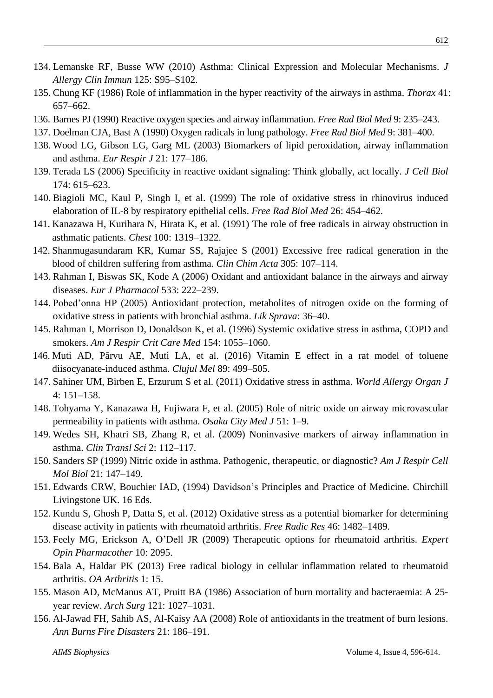- 134. Lemanske RF, Busse WW (2010) Asthma: Clinical Expression and Molecular Mechanisms. *J Allergy Clin Immun* 125: S95–S102.
- 135. Chung KF (1986) Role of inflammation in the hyper reactivity of the airways in asthma. *Thorax* 41: 657–662.
- 136. Barnes PJ (1990) Reactive oxygen species and airway inflammation. *Free Rad Biol Med* 9: 235–243.
- 137. Doelman CJA, Bast A (1990) Oxygen radicals in lung pathology. *Free Rad Biol Med* 9: 381–400.
- 138. Wood LG, Gibson LG, Garg ML (2003) Biomarkers of lipid peroxidation, airway inflammation and asthma. *Eur Respir J* 21: 177–186.
- 139. Terada LS (2006) Specificity in reactive oxidant signaling: Think globally, act locally. *J Cell Biol* 174: 615–623.
- 140. Biagioli MC, Kaul P, Singh I, et al. (1999) The role of oxidative stress in rhinovirus induced elaboration of IL‐8 by respiratory epithelial cells. *Free Rad Biol Med* 26: 454–462.
- 141. [Kanazawa](https://www.ncbi.nlm.nih.gov/pubmed/?term=Kanazawa%20H%5BAuthor%5D&cauthor=true&cauthor_uid=1657539) H, [Kurihara](https://www.ncbi.nlm.nih.gov/pubmed/?term=Kurihara%20N%5BAuthor%5D&cauthor=true&cauthor_uid=1657539) N, [Hirata](https://www.ncbi.nlm.nih.gov/pubmed/?term=Hirata%20K%5BAuthor%5D&cauthor=true&cauthor_uid=1657539) K, et al. (1991) The role of free radicals in airway obstruction in asthmatic patients. *[Chest](https://www.ncbi.nlm.nih.gov/pubmed/1657539)* 100: 1319–1322.
- 142. [Shanmugasundaram](https://www.ncbi.nlm.nih.gov/pubmed/?term=Shanmugasundaram%20KR%5BAuthor%5D&cauthor=true&cauthor_uid=11249929) KR, [Kumar](https://www.ncbi.nlm.nih.gov/pubmed/?term=Kumar%20SS%5BAuthor%5D&cauthor=true&cauthor_uid=11249929) SS, [Rajajee](https://www.ncbi.nlm.nih.gov/pubmed/?term=Rajajee%20S%5BAuthor%5D&cauthor=true&cauthor_uid=11249929) S (2001) Excessive free radical generation in the blood of children suffering from asthma*. Clin [Chim](https://www.ncbi.nlm.nih.gov/pubmed/11249929) Acta* 305: 107–114.
- 143. Rahman I, Biswas SK, Kode A (2006) Oxidant and antioxidant balance in the airways and airway diseases. *Eur J Pharmacol* 533: 222–239.
- 144. Pobed'onna HP (2005) Antioxidant protection, metabolites of nitrogen oxide on the forming of oxidative stress in patients with bronchial asthma. *Lik Sprava*: 36–40.
- 145. Rahman I, Morrison D, Donaldson K, et al. (1996) Systemic oxidative stress in asthma, COPD and smokers. *Am J Respir Crit Care Med* 154: 1055–1060.
- 146. [Muti](https://www.ncbi.nlm.nih.gov/pubmed/?term=Muti%20AD%5BAuthor%5D&cauthor=true&cauthor_uid=27857519) AD, [Pârvu](https://www.ncbi.nlm.nih.gov/pubmed/?term=P%C3%A2rvu%20AE%5BAuthor%5D&cauthor=true&cauthor_uid=27857519) AE, [Muti](https://www.ncbi.nlm.nih.gov/pubmed/?term=Muti%20LA%5BAuthor%5D&cauthor=true&cauthor_uid=27857519) LA, et al. (2016) Vitamin E effect in a rat model of toluene diisocyanate-induced asthma. *Clujul Mel* 89: 499–505.
- 147. Sahiner UM, Birben E, Erzurum S et al. (2011) Oxidative stress in asthma. *World Allergy Organ J* 4: 151–158.
- 148. Tohyama Y, Kanazawa H, Fujiwara F, et al. (2005) Role of nitric oxide on airway microvascular permeability in patients with asthma. *Osaka City Med J* 51: 1–9.
- 149. Wedes SH, Khatri SB, Zhang R, et al. (2009) Noninvasive markers of airway inflammation in asthma. *Clin Transl Sci* 2: 112–117.
- 150. Sanders SP (1999) Nitric oxide in asthma. Pathogenic, therapeutic, or diagnostic? *Am J Respir Cell Mol Biol* 21: 147–149.
- 151. Edwards CRW, Bouchier IAD, (1994) Davidson's Principles and Practice of Medicine. Chirchill Livingstone UK. 16 Eds.
- 152. Kundu S, Ghosh P, Datta S, et al. (2012) Oxidative stress as a potential biomarker for determining disease activity in patients with rheumatoid arthritis. *Free Radic Res* 46: 1482–1489.
- 153. Feely MG, Erickson A, O'Dell JR (2009) Therapeutic options for rheumatoid arthritis. *Expert Opin Pharmacother* 10: 2095.
- 154. Bala A, Haldar PK (2013) Free radical biology in cellular inflammation related to rheumatoid arthritis. *OA Arthritis* 1: 15.
- 155. Mason AD, McManus AT, Pruitt BA (1986) Association of burn mortality and bacteraemia: A 25 year review. *Arch Surg* 121: 1027–1031.
- 156. Al-Jawad FH, Sahib AS, Al-Kaisy AA (2008) Role of antioxidants in the treatment of burn lesions. *Ann Burns Fire Disasters* 21: 186–191.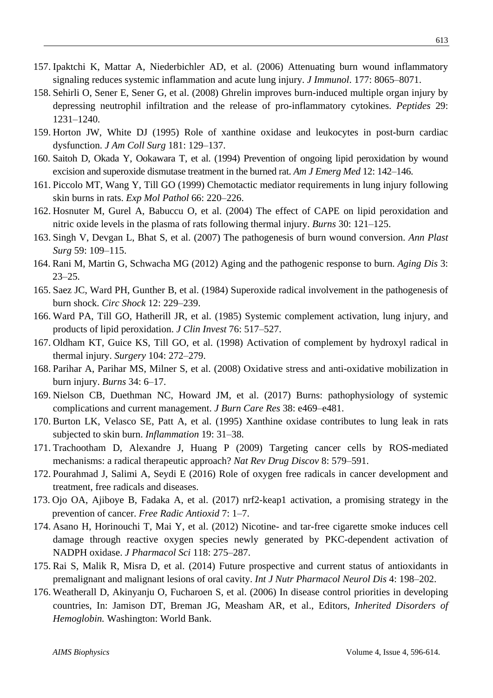- 157. Ipaktchi K, Mattar A, Niederbichler AD, et al. (2006) Attenuating burn wound inflammatory signaling reduces systemic inflammation and acute lung injury. *J [Immunol](https://www.ncbi.nlm.nih.gov/pubmed/?term=Attenuating+burn+wound+inflammatory+signaling+reduces+systemic+inflammation+and+acute+lung+injury)*. 177: 8065–8071.
- 158. Sehirli O, Sener E, Sener G, et al. (2008) Ghrelin improves burn-induced multiple organ injury by depressing neutrophil infiltration and the release of pro-inflammatory cytokines. *Peptides* 29: 1231–1240.
- 159. Horton JW, White DJ (1995) Role of xanthine oxidase and leukocytes in post-burn cardiac dysfunction. *J Am Coll Surg* 181: 129–137.
- 160. Saitoh D, Okada Y, Ookawara T, et al. (1994) Prevention of ongoing lipid peroxidation by wound excision and superoxide dismutase treatment in the burned rat. *Am J Emerg Med* 12: 142–146.
- 161. Piccolo MT, Wang Y, Till GO (1999) Chemotactic mediator requirements in lung injury following skin burns in rats. *Exp Mol Pathol* 66: 220–226.
- 162. Hosnuter M, Gurel A, Babuccu O, et al. (2004) The effect of CAPE on lipid peroxidation and nitric oxide levels in the plasma of rats following thermal injury. *Burns* 30: 121–125.
- 163. Singh V, Devgan L, Bhat S, et al. (2007) The pathogenesis of burn wound conversion. *Ann Plast Surg* 59: 109–115.
- 164. Rani M, Martin G, Schwacha MG (2012) Aging and the pathogenic response to burn. *Aging Dis* 3: 23–25.
- 165. Saez JC, Ward PH, Gunther B, et al. (1984) Superoxide radical involvement in the pathogenesis of burn shock. *Circ Shock* 12: 229–239.
- 166. Ward PA, Till GO, Hatherill JR, et al. (1985) Systemic complement activation, lung injury, and products of lipid peroxidation. *J Clin Invest* 76: 517–527.
- 167. Oldham KT, Guice KS, Till GO, et al. (1998) Activation of complement by hydroxyl radical in thermal injury. *Surgery* 104: 272–279.
- 168. Parihar A, Parihar MS, Milner S, et al. (2008) Oxidative stress and anti-oxidative mobilization in burn injury. *Burns* 34: 6–17.
- 169. Nielson CB, Duethman NC, Howard JM, et al. (2017) Burns: pathophysiology of systemic complications and current management. *J Burn Care Res* 38: [e469–e481.](http://journals.lww.com/burncareresearch/pages/currenttoc.aspx)
- 170. Burton LK, Velasco SE, Patt A, et al. (1995) Xanthine oxidase contributes to lung leak in rats subjected to skin burn. *Inflammation* 19: 31–38.
- 171. Trachootham D, Alexandre J, Huang P (2009) Targeting cancer cells by ROS-mediated mechanisms: a radical therapeutic approach? *Nat Rev Drug Discov* 8: 579–591.
- 172. Pourahmad J, Salimi A, Seydi E (2016) Role of oxygen free radicals in cancer development and treatment, free radicals and diseases.
- 173. Ojo [OA,](http://www.antiox.org/articles?f%5bauthor%5d=170) [Ajiboye](http://www.antiox.org/articles?f%5bauthor%5d=171) B, [Fadaka](http://www.antiox.org/articles?f%5bauthor%5d=172) A, et al. (2017) [nrf2-keap1](http://www.antiox.org/article/51) activation, a promising strategy in the [prevention](http://www.antiox.org/article/51) of cancer. *Free Radic Antioxid* 7: 1–7.
- 174. Asano H, Horinouchi T, Mai Y, et al. (2012) [Nicotine-](https://www.ncbi.nlm.nih.gov/pubmed/22302021) and tar-free cigarette smoke induces cell damage through reactive oxygen species newly generated by [PKC-dependent](https://www.ncbi.nlm.nih.gov/pubmed/22302021) activation of [NADPH](https://www.ncbi.nlm.nih.gov/pubmed/22302021) oxidase. *J Pharmacol Sci* 118: 275–287.
- 175. Rai S, Malik R, Misra D, et al. (2014) Future prospective and current status of antioxidants in premalignant and malignant lesions of oral cavity. *Int J Nutr Pharmacol Neurol Dis* 4: 198–202.
- 176. Weatherall D, Akinyanju O, Fucharoen S, et al. (2006) In disease control priorities in developing countries, In: Jamison DT, Breman JG, Measham AR, et al., Editors, *Inherited Disorders of Hemoglobin.* Washington: World Bank.